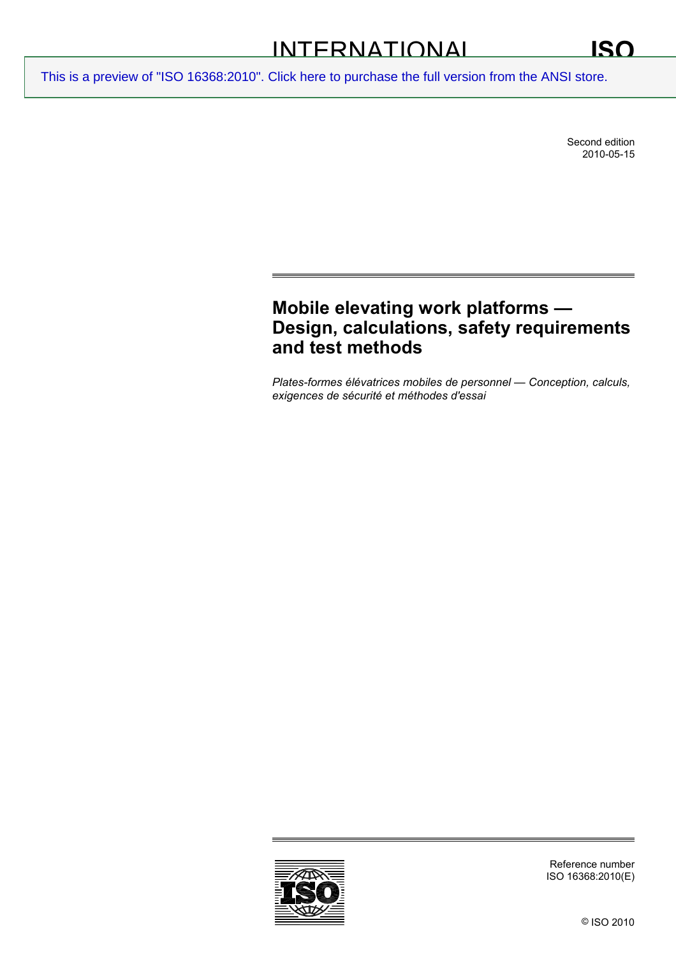Second edition 2010-05-15

# **Mobile elevating work platforms — Design, calculations, safety requirements and test methods**

*Plates-formes élévatrices mobiles de personnel — Conception, calculs, exigences de sécurité et méthodes d'essai* 

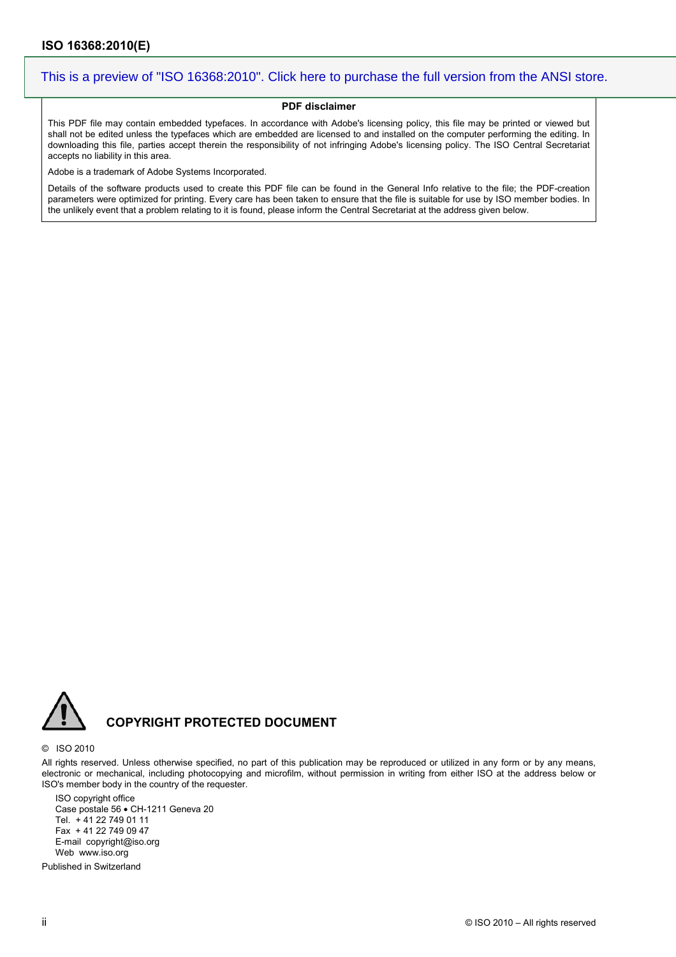#### **PDF disclaimer**

This PDF file may contain embedded typefaces. In accordance with Adobe's licensing policy, this file may be printed or viewed but shall not be edited unless the typefaces which are embedded are licensed to and installed on the computer performing the editing. In downloading this file, parties accept therein the responsibility of not infringing Adobe's licensing policy. The ISO Central Secretariat accepts no liability in this area.

Adobe is a trademark of Adobe Systems Incorporated.

Details of the software products used to create this PDF file can be found in the General Info relative to the file; the PDF-creation parameters were optimized for printing. Every care has been taken to ensure that the file is suitable for use by ISO member bodies. In the unlikely event that a problem relating to it is found, please inform the Central Secretariat at the address given below.



### **COPYRIGHT PROTECTED DOCUMENT**

#### © ISO 2010

All rights reserved. Unless otherwise specified, no part of this publication may be reproduced or utilized in any form or by any means, electronic or mechanical, including photocopying and microfilm, without permission in writing from either ISO at the address below or ISO's member body in the country of the requester.

ISO copyright office Case postale 56 • CH-1211 Geneva 20 Tel. + 41 22 749 01 11 Fax + 41 22 749 09 47 E-mail copyright@iso.org Web www.iso.org

Published in Switzerland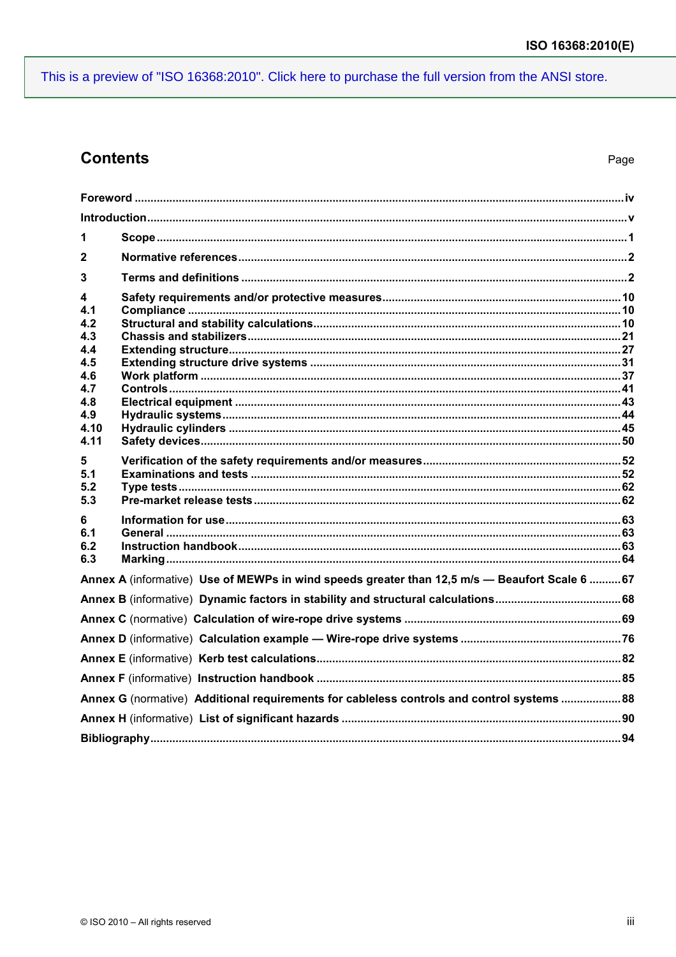## **Contents**

| 1                                                                                              |  |
|------------------------------------------------------------------------------------------------|--|
| $\mathbf{2}$                                                                                   |  |
|                                                                                                |  |
| 3                                                                                              |  |
| 4                                                                                              |  |
| 4.1<br>4.2                                                                                     |  |
| 4.3                                                                                            |  |
| 4.4                                                                                            |  |
| 4.5<br>4.6                                                                                     |  |
| 4.7                                                                                            |  |
| 4.8                                                                                            |  |
| 4.9                                                                                            |  |
| 4.10<br>4.11                                                                                   |  |
| 5                                                                                              |  |
| 5.1                                                                                            |  |
| 5.2                                                                                            |  |
| 5.3                                                                                            |  |
| 6                                                                                              |  |
| 6.1<br>6.2                                                                                     |  |
| 6.3                                                                                            |  |
| Annex A (informative) Use of MEWPs in wind speeds greater than 12,5 m/s - Beaufort Scale 6  67 |  |
|                                                                                                |  |
|                                                                                                |  |
|                                                                                                |  |
|                                                                                                |  |
|                                                                                                |  |
|                                                                                                |  |
| Annex G (normative) Additional requirements for cableless controls and control systems  88     |  |
|                                                                                                |  |
|                                                                                                |  |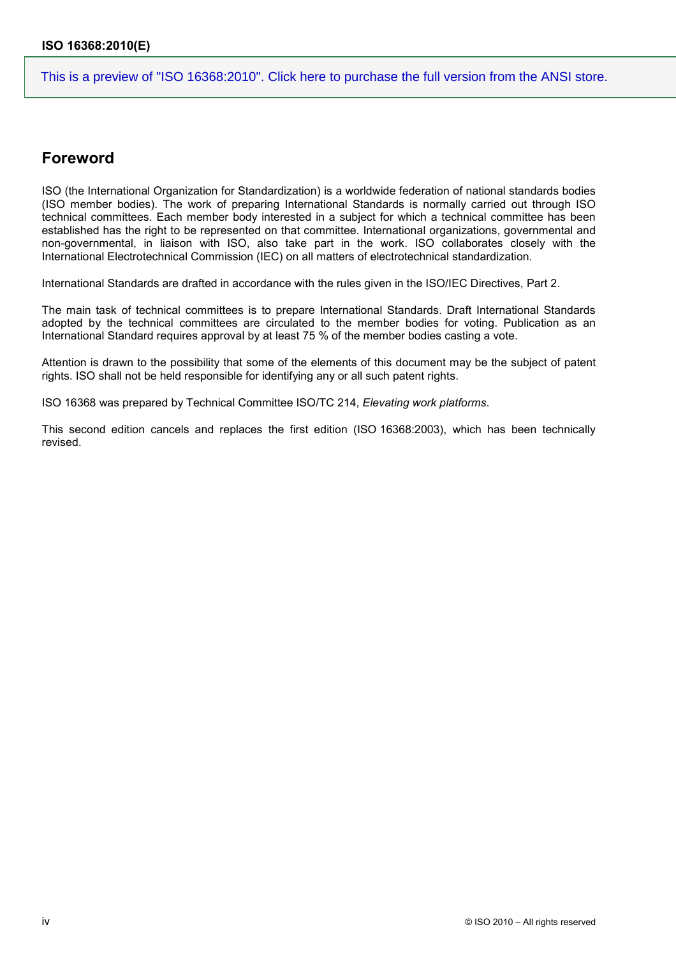## <span id="page-3-0"></span>**Foreword**

ISO (the International Organization for Standardization) is a worldwide federation of national standards bodies (ISO member bodies). The work of preparing International Standards is normally carried out through ISO technical committees. Each member body interested in a subject for which a technical committee has been established has the right to be represented on that committee. International organizations, governmental and non-governmental, in liaison with ISO, also take part in the work. ISO collaborates closely with the International Electrotechnical Commission (IEC) on all matters of electrotechnical standardization.

International Standards are drafted in accordance with the rules given in the ISO/IEC Directives, Part 2.

The main task of technical committees is to prepare International Standards. Draft International Standards adopted by the technical committees are circulated to the member bodies for voting. Publication as an International Standard requires approval by at least 75 % of the member bodies casting a vote.

Attention is drawn to the possibility that some of the elements of this document may be the subject of patent rights. ISO shall not be held responsible for identifying any or all such patent rights.

ISO 16368 was prepared by Technical Committee ISO/TC 214, *Elevating work platforms*.

This second edition cancels and replaces the first edition (ISO 16368:2003), which has been technically revised.